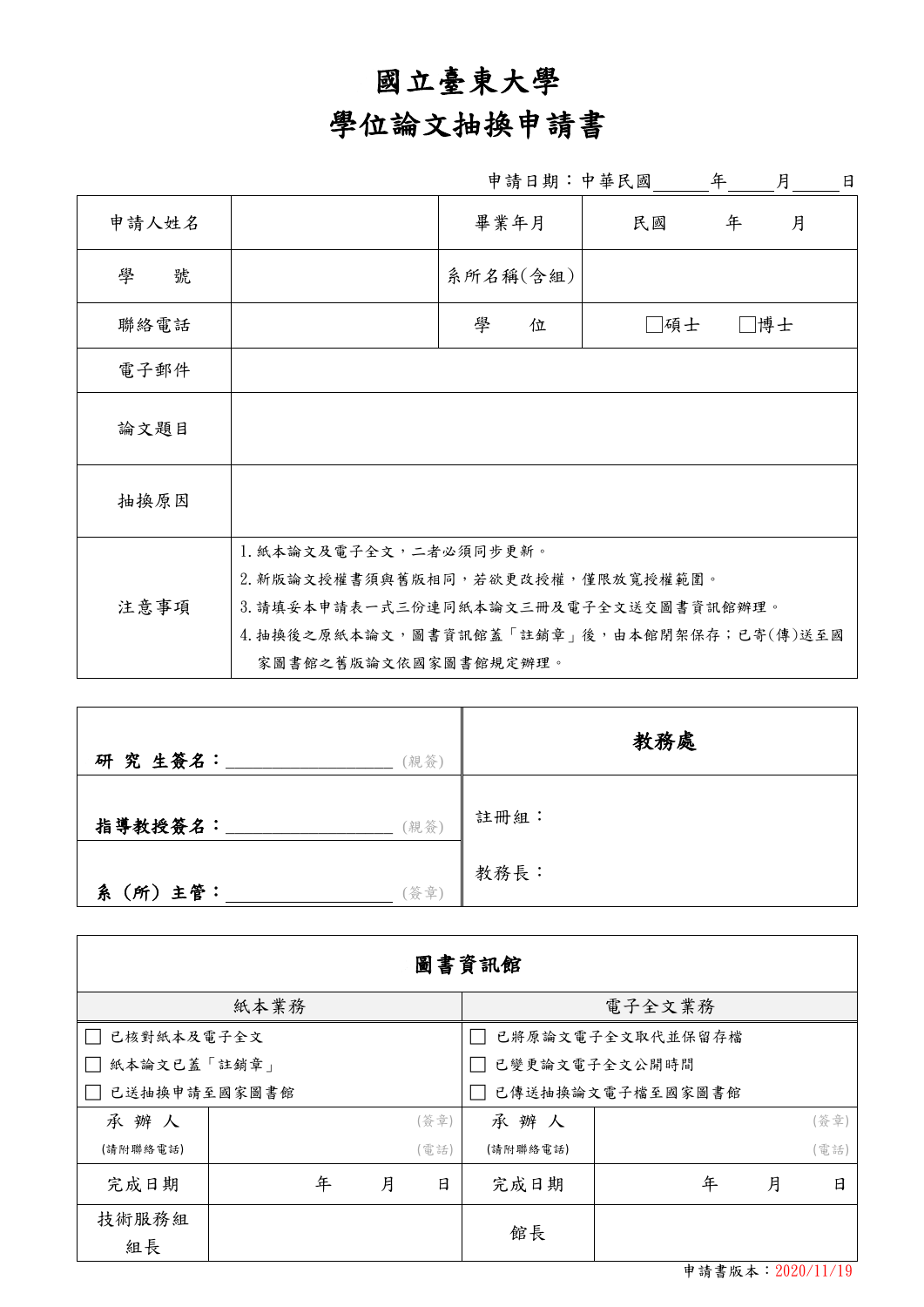## 國立臺東大學

## 學位論文抽換申請書

|        |                                                                                                                                                                                | 申請日期:中華民國 |     | 年<br>月 | 日 |
|--------|--------------------------------------------------------------------------------------------------------------------------------------------------------------------------------|-----------|-----|--------|---|
| 申請人姓名  |                                                                                                                                                                                | 畢業年月      | 民國  | 年<br>月 |   |
| 學<br>號 |                                                                                                                                                                                | 系所名稱(含組)  |     |        |   |
| 聯絡電話   |                                                                                                                                                                                | 學<br>位    | □碩士 | □博士    |   |
| 電子郵件   |                                                                                                                                                                                |           |     |        |   |
| 論文題目   |                                                                                                                                                                                |           |     |        |   |
| 抽換原因   |                                                                                                                                                                                |           |     |        |   |
| 注意事項   | 1. 紙本論文及電子全文, 二者必須同步更新。<br>2. 新版論文授權書須與舊版相同,若欲更改授權,僅限放寬授權範圍。<br>3. 請填妥本申請表一式三份連同紙本論文三冊及電子全文送交圖書資訊館辦理。<br>4. 抽換後之原紙本論文, 圖書資訊館蓋「註銷章」後, 由本館閉架保存; 已寄(傳)送至國<br>家圖書館之舊版論文依國家圖書館規定辦理。 |           |     |        |   |

| 研究生簽名:       | (親簽) | 教務處  |
|--------------|------|------|
| 指導教授簽名:      | (親簽) | 註冊組: |
| (所) 主管:<br>糸 | 簽章)  | 教務長: |

| 圖書資訊館             |  |   |                  |                  |          |   |   |      |  |  |
|-------------------|--|---|------------------|------------------|----------|---|---|------|--|--|
| 紙本業務              |  |   |                  | 電子全文業務           |          |   |   |      |  |  |
| 已核對紙本及電子全文        |  |   |                  | 已將原論文電子全文取代並保留存檔 |          |   |   |      |  |  |
| 紙本論文已蓋「註銷章」       |  |   |                  | 已變更論文電子全文公開時間    |          |   |   |      |  |  |
| 已送抽换申請至國家圖書館      |  |   | 已傳送抽換論文電子檔至國家圖書館 |                  |          |   |   |      |  |  |
| 承辦人               |  |   |                  | (簽章)             | 承辦人      |   |   | (簽章) |  |  |
| (請附聯絡電話)          |  |   |                  | (電話)             | (請附聯絡電話) |   |   | (電話) |  |  |
| 完成日期              |  | 年 | 月                | 日                | 完成日期     | 年 | 月 | 日    |  |  |
| 技術服務組<br>組長       |  |   |                  |                  | 館長       |   |   |      |  |  |
| 申請書版本: 2020/11/19 |  |   |                  |                  |          |   |   |      |  |  |